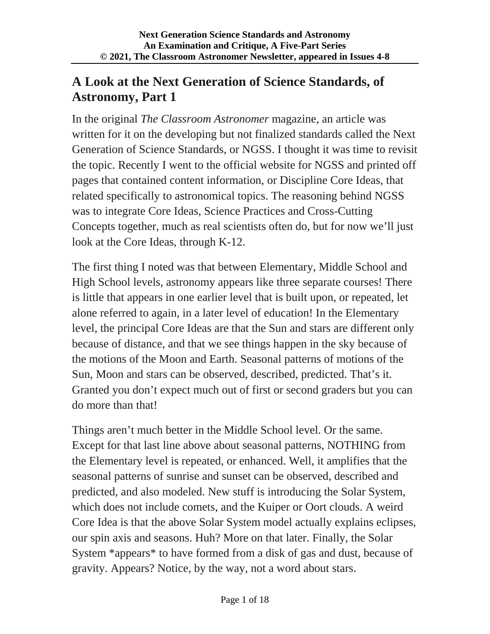# **A Look at the Next Generation of Science Standards, of Astronomy, Part 1**

In the original *The Classroom Astronomer* magazine, an article was written for it on the developing but not finalized standards called the Next Generation of Science Standards, or NGSS. I thought it was time to revisit the topic. Recently I went to the official website for NGSS and printed off pages that contained content information, or Discipline Core Ideas, that related specifically to astronomical topics. The reasoning behind NGSS was to integrate Core Ideas, Science Practices and Cross-Cutting Concepts together, much as real scientists often do, but for now we'll just look at the Core Ideas, through K-12.

The first thing I noted was that between Elementary, Middle School and High School levels, astronomy appears like three separate courses! There is little that appears in one earlier level that is built upon, or repeated, let alone referred to again, in a later level of education! In the Elementary level, the principal Core Ideas are that the Sun and stars are different only because of distance, and that we see things happen in the sky because of the motions of the Moon and Earth. Seasonal patterns of motions of the Sun, Moon and stars can be observed, described, predicted. That's it. Granted you don't expect much out of first or second graders but you can do more than that!

Things aren't much better in the Middle School level. Or the same. Except for that last line above about seasonal patterns, NOTHING from the Elementary level is repeated, or enhanced. Well, it amplifies that the seasonal patterns of sunrise and sunset can be observed, described and predicted, and also modeled. New stuff is introducing the Solar System, which does not include comets, and the Kuiper or Oort clouds. A weird Core Idea is that the above Solar System model actually explains eclipses, our spin axis and seasons. Huh? More on that later. Finally, the Solar System \*appears\* to have formed from a disk of gas and dust, because of gravity. Appears? Notice, by the way, not a word about stars.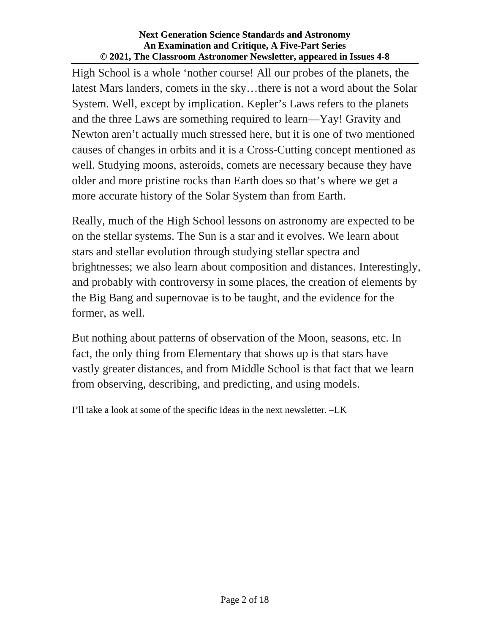High School is a whole 'nother course! All our probes of the planets, the latest Mars landers, comets in the sky…there is not a word about the Solar System. Well, except by implication. Kepler's Laws refers to the planets and the three Laws are something required to learn—Yay! Gravity and Newton aren't actually much stressed here, but it is one of two mentioned causes of changes in orbits and it is a Cross-Cutting concept mentioned as well. Studying moons, asteroids, comets are necessary because they have older and more pristine rocks than Earth does so that's where we get a more accurate history of the Solar System than from Earth.

Really, much of the High School lessons on astronomy are expected to be on the stellar systems. The Sun is a star and it evolves. We learn about stars and stellar evolution through studying stellar spectra and brightnesses; we also learn about composition and distances. Interestingly, and probably with controversy in some places, the creation of elements by the Big Bang and supernovae is to be taught, and the evidence for the former, as well.

But nothing about patterns of observation of the Moon, seasons, etc. In fact, the only thing from Elementary that shows up is that stars have vastly greater distances, and from Middle School is that fact that we learn from observing, describing, and predicting, and using models.

I'll take a look at some of the specific Ideas in the next newsletter. –LK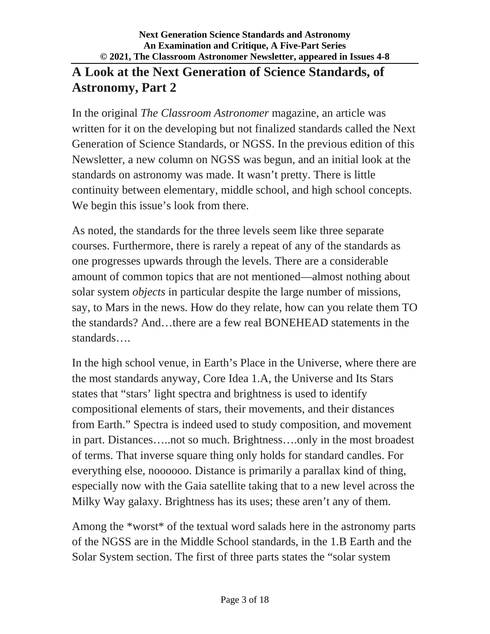# **A Look at the Next Generation of Science Standards, of Astronomy, Part 2**

In the original *The Classroom Astronomer* magazine, an article was written for it on the developing but not finalized standards called the Next Generation of Science Standards, or NGSS. In the previous edition of this Newsletter, a new column on NGSS was begun, and an initial look at the standards on astronomy was made. It wasn't pretty. There is little continuity between elementary, middle school, and high school concepts. We begin this issue's look from there.

As noted, the standards for the three levels seem like three separate courses. Furthermore, there is rarely a repeat of any of the standards as one progresses upwards through the levels. There are a considerable amount of common topics that are not mentioned—almost nothing about solar system *objects* in particular despite the large number of missions, say, to Mars in the news. How do they relate, how can you relate them TO the standards? And…there are a few real BONEHEAD statements in the standards….

In the high school venue, in Earth's Place in the Universe, where there are the most standards anyway, Core Idea 1.A, the Universe and Its Stars states that "stars' light spectra and brightness is used to identify compositional elements of stars, their movements, and their distances from Earth." Spectra is indeed used to study composition, and movement in part. Distances…..not so much. Brightness….only in the most broadest of terms. That inverse square thing only holds for standard candles. For everything else, noooooo. Distance is primarily a parallax kind of thing, especially now with the Gaia satellite taking that to a new level across the Milky Way galaxy. Brightness has its uses; these aren't any of them.

Among the \*worst\* of the textual word salads here in the astronomy parts of the NGSS are in the Middle School standards, in the 1.B Earth and the Solar System section. The first of three parts states the "solar system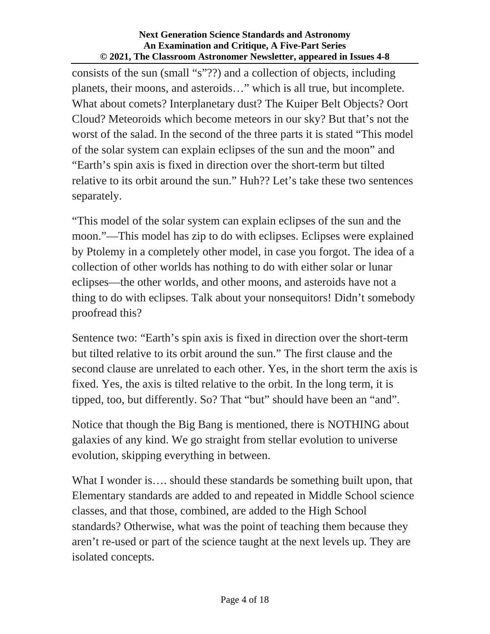consists of the sun (small "s"??) and a collection of objects, including planets, their moons, and asteroids…" which is all true, but incomplete. What about comets? Interplanetary dust? The Kuiper Belt Objects? Oort Cloud? Meteoroids which become meteors in our sky? But that's not the worst of the salad. In the second of the three parts it is stated "This model of the solar system can explain eclipses of the sun and the moon" and "Earth's spin axis is fixed in direction over the short-term but tilted relative to its orbit around the sun." Huh?? Let's take these two sentences separately.

"This model of the solar system can explain eclipses of the sun and the moon."—This model has zip to do with eclipses. Eclipses were explained by Ptolemy in a completely other model, in case you forgot. The idea of a collection of other worlds has nothing to do with either solar or lunar eclipses—the other worlds, and other moons, and asteroids have not a thing to do with eclipses. Talk about your nonsequitors! Didn't somebody proofread this?

Sentence two: "Earth's spin axis is fixed in direction over the short-term but tilted relative to its orbit around the sun." The first clause and the second clause are unrelated to each other. Yes, in the short term the axis is fixed. Yes, the axis is tilted relative to the orbit. In the long term, it is tipped, too, but differently. So? That "but" should have been an "and".

Notice that though the Big Bang is mentioned, there is NOTHING about galaxies of any kind. We go straight from stellar evolution to universe evolution, skipping everything in between.

What I wonder is.... should these standards be something built upon, that Elementary standards are added to and repeated in Middle School science classes, and that those, combined, are added to the High School standards? Otherwise, what was the point of teaching them because they aren't re-used or part of the science taught at the next levels up. They are isolated concepts.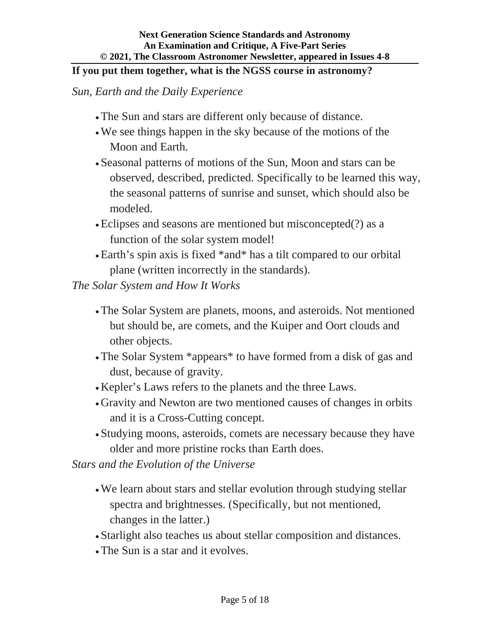### **If you put them together, what is the NGSS course in astronomy?**

*Sun, Earth and the Daily Experience*

- The Sun and stars are different only because of distance.
- We see things happen in the sky because of the motions of the Moon and Earth.
- Seasonal patterns of motions of the Sun, Moon and stars can be observed, described, predicted. Specifically to be learned this way, the seasonal patterns of sunrise and sunset, which should also be modeled.
- Eclipses and seasons are mentioned but misconcepted(?) as a function of the solar system model!
- Earth's spin axis is fixed \*and\* has a tilt compared to our orbital plane (written incorrectly in the standards).

*The Solar System and How It Works*

- The Solar System are planets, moons, and asteroids. Not mentioned but should be, are comets, and the Kuiper and Oort clouds and other objects.
- The Solar System \*appears\* to have formed from a disk of gas and dust, because of gravity.
- Kepler's Laws refers to the planets and the three Laws.
- Gravity and Newton are two mentioned causes of changes in orbits and it is a Cross-Cutting concept.
- Studying moons, asteroids, comets are necessary because they have older and more pristine rocks than Earth does.

*Stars and the Evolution of the Universe*

- We learn about stars and stellar evolution through studying stellar spectra and brightnesses. (Specifically, but not mentioned, changes in the latter.)
- Starlight also teaches us about stellar composition and distances.
- The Sun is a star and it evolves.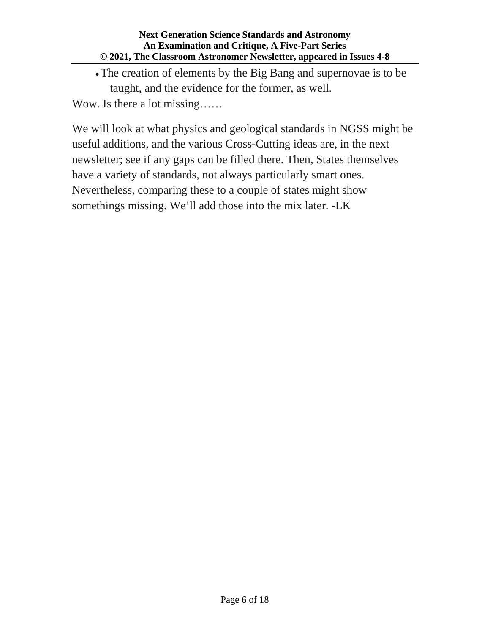The creation of elements by the Big Bang and supernovae is to be taught, and the evidence for the former, as well.

Wow. Is there a lot missing……

We will look at what physics and geological standards in NGSS might be useful additions, and the various Cross-Cutting ideas are, in the next newsletter; see if any gaps can be filled there. Then, States themselves have a variety of standards, not always particularly smart ones. Nevertheless, comparing these to a couple of states might show somethings missing. We'll add those into the mix later. -LK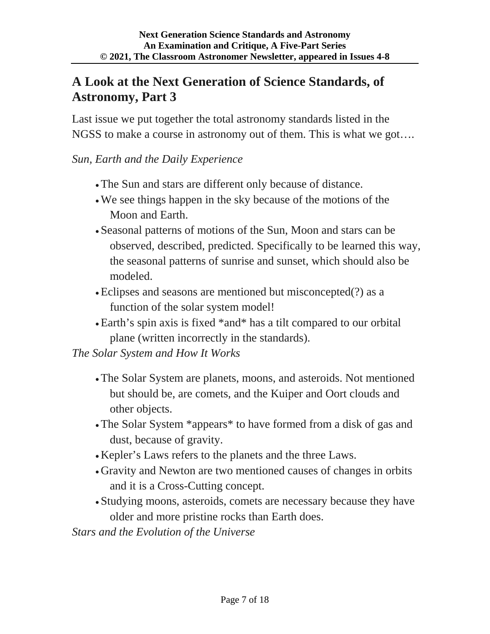# **A Look at the Next Generation of Science Standards, of Astronomy, Part 3**

Last issue we put together the total astronomy standards listed in the NGSS to make a course in astronomy out of them. This is what we got….

## *Sun, Earth and the Daily Experience*

- The Sun and stars are different only because of distance.
- We see things happen in the sky because of the motions of the Moon and Earth.
- Seasonal patterns of motions of the Sun, Moon and stars can be observed, described, predicted. Specifically to be learned this way, the seasonal patterns of sunrise and sunset, which should also be modeled.
- Eclipses and seasons are mentioned but misconcepted(?) as a function of the solar system model!
- Earth's spin axis is fixed \*and\* has a tilt compared to our orbital plane (written incorrectly in the standards).

*The Solar System and How It Works*

- The Solar System are planets, moons, and asteroids. Not mentioned but should be, are comets, and the Kuiper and Oort clouds and other objects.
- The Solar System \*appears\* to have formed from a disk of gas and dust, because of gravity.
- Kepler's Laws refers to the planets and the three Laws.
- Gravity and Newton are two mentioned causes of changes in orbits and it is a Cross-Cutting concept.
- Studying moons, asteroids, comets are necessary because they have older and more pristine rocks than Earth does.

*Stars and the Evolution of the Universe*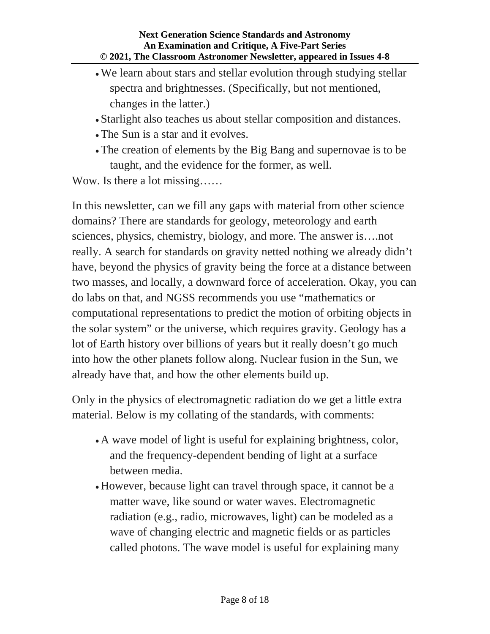- We learn about stars and stellar evolution through studying stellar spectra and brightnesses. (Specifically, but not mentioned, changes in the latter.)
- Starlight also teaches us about stellar composition and distances.
- The Sun is a star and it evolves.
- The creation of elements by the Big Bang and supernovae is to be taught, and the evidence for the former, as well.

Wow. Is there a lot missing……

In this newsletter, can we fill any gaps with material from other science domains? There are standards for geology, meteorology and earth sciences, physics, chemistry, biology, and more. The answer is….not really. A search for standards on gravity netted nothing we already didn't have, beyond the physics of gravity being the force at a distance between two masses, and locally, a downward force of acceleration. Okay, you can do labs on that, and NGSS recommends you use "mathematics or computational representations to predict the motion of orbiting objects in the solar system" or the universe, which requires gravity. Geology has a lot of Earth history over billions of years but it really doesn't go much into how the other planets follow along. Nuclear fusion in the Sun, we already have that, and how the other elements build up.

Only in the physics of electromagnetic radiation do we get a little extra material. Below is my collating of the standards, with comments:

- A wave model of light is useful for explaining brightness, color, and the frequency-dependent bending of light at a surface between media.
- However, because light can travel through space, it cannot be a matter wave, like sound or water waves. Electromagnetic radiation (e.g., radio, microwaves, light) can be modeled as a wave of changing electric and magnetic fields or as particles called photons. The wave model is useful for explaining many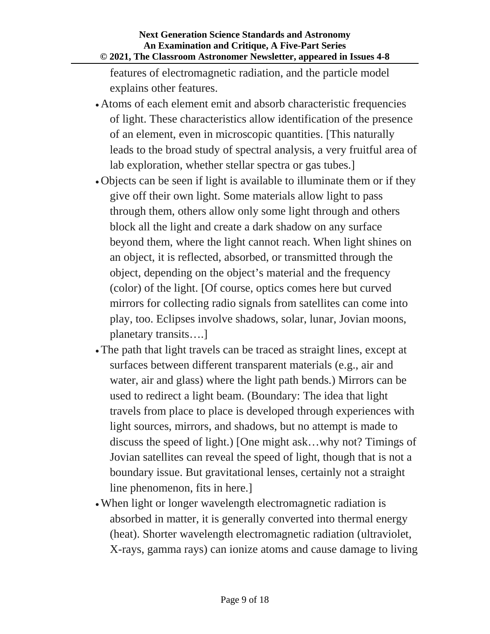features of electromagnetic radiation, and the particle model explains other features.

- Atoms of each element emit and absorb characteristic frequencies of light. These characteristics allow identification of the presence of an element, even in microscopic quantities. [This naturally leads to the broad study of spectral analysis, a very fruitful area of lab exploration, whether stellar spectra or gas tubes.]
- Objects can be seen if light is available to illuminate them or if they give off their own light. Some materials allow light to pass through them, others allow only some light through and others block all the light and create a dark shadow on any surface beyond them, where the light cannot reach. When light shines on an object, it is reflected, absorbed, or transmitted through the object, depending on the object's material and the frequency (color) of the light. [Of course, optics comes here but curved mirrors for collecting radio signals from satellites can come into play, too. Eclipses involve shadows, solar, lunar, Jovian moons, planetary transits….]
- The path that light travels can be traced as straight lines, except at surfaces between different transparent materials (e.g., air and water, air and glass) where the light path bends.) Mirrors can be used to redirect a light beam. (Boundary: The idea that light travels from place to place is developed through experiences with light sources, mirrors, and shadows, but no attempt is made to discuss the speed of light.) [One might ask…why not? Timings of Jovian satellites can reveal the speed of light, though that is not a boundary issue. But gravitational lenses, certainly not a straight line phenomenon, fits in here.]
- When light or longer wavelength electromagnetic radiation is absorbed in matter, it is generally converted into thermal energy (heat). Shorter wavelength electromagnetic radiation (ultraviolet, X-rays, gamma rays) can ionize atoms and cause damage to living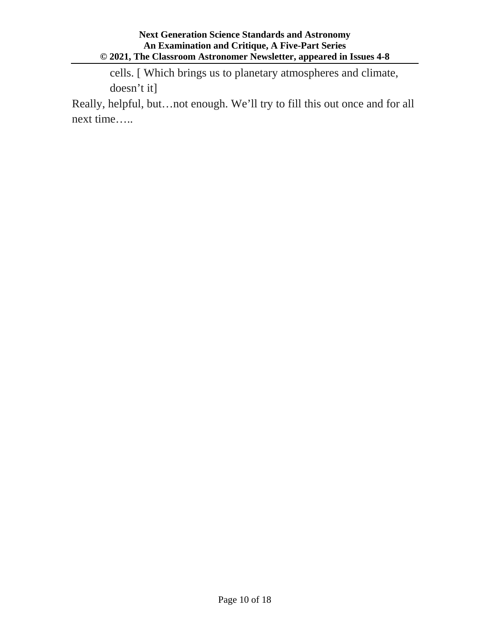cells. [ Which brings us to planetary atmospheres and climate, doesn't it]

Really, helpful, but…not enough. We'll try to fill this out once and for all next time…..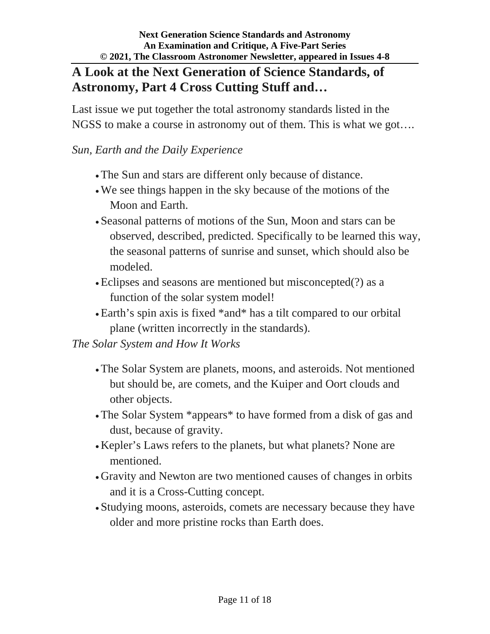## **A Look at the Next Generation of Science Standards, of Astronomy, Part 4 Cross Cutting Stuff and…**

Last issue we put together the total astronomy standards listed in the NGSS to make a course in astronomy out of them. This is what we got….

## *Sun, Earth and the Daily Experience*

- The Sun and stars are different only because of distance.
- We see things happen in the sky because of the motions of the Moon and Earth.
- Seasonal patterns of motions of the Sun, Moon and stars can be observed, described, predicted. Specifically to be learned this way, the seasonal patterns of sunrise and sunset, which should also be modeled.
- Eclipses and seasons are mentioned but misconcepted(?) as a function of the solar system model!
- Earth's spin axis is fixed \*and\* has a tilt compared to our orbital plane (written incorrectly in the standards).

### *The Solar System and How It Works*

- The Solar System are planets, moons, and asteroids. Not mentioned but should be, are comets, and the Kuiper and Oort clouds and other objects.
- The Solar System \*appears\* to have formed from a disk of gas and dust, because of gravity.
- Kepler's Laws refers to the planets, but what planets? None are mentioned.
- Gravity and Newton are two mentioned causes of changes in orbits and it is a Cross-Cutting concept.
- Studying moons, asteroids, comets are necessary because they have older and more pristine rocks than Earth does.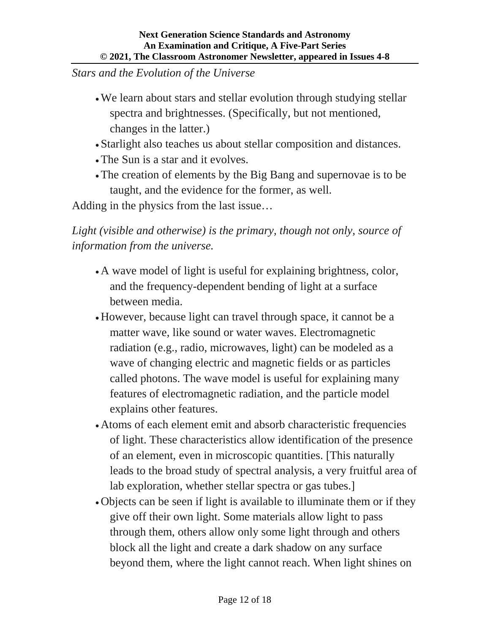*Stars and the Evolution of the Universe*

- We learn about stars and stellar evolution through studying stellar spectra and brightnesses. (Specifically, but not mentioned, changes in the latter.)
- Starlight also teaches us about stellar composition and distances.
- The Sun is a star and it evolves.
- The creation of elements by the Big Bang and supernovae is to be taught, and the evidence for the former, as well.

Adding in the physics from the last issue…

*Light (visible and otherwise) is the primary, though not only, source of information from the universe.*

- A wave model of light is useful for explaining brightness, color, and the frequency-dependent bending of light at a surface between media.
- However, because light can travel through space, it cannot be a matter wave, like sound or water waves. Electromagnetic radiation (e.g., radio, microwaves, light) can be modeled as a wave of changing electric and magnetic fields or as particles called photons. The wave model is useful for explaining many features of electromagnetic radiation, and the particle model explains other features.
- Atoms of each element emit and absorb characteristic frequencies of light. These characteristics allow identification of the presence of an element, even in microscopic quantities. [This naturally leads to the broad study of spectral analysis, a very fruitful area of lab exploration, whether stellar spectra or gas tubes.]
- Objects can be seen if light is available to illuminate them or if they give off their own light. Some materials allow light to pass through them, others allow only some light through and others block all the light and create a dark shadow on any surface beyond them, where the light cannot reach. When light shines on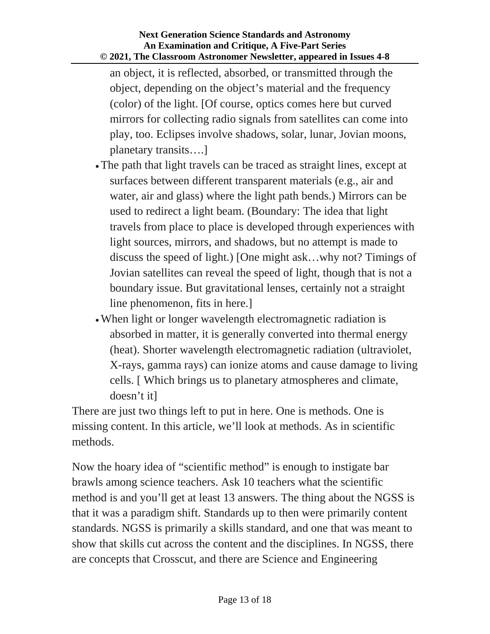an object, it is reflected, absorbed, or transmitted through the object, depending on the object's material and the frequency (color) of the light. [Of course, optics comes here but curved mirrors for collecting radio signals from satellites can come into play, too. Eclipses involve shadows, solar, lunar, Jovian moons, planetary transits….]

- The path that light travels can be traced as straight lines, except at surfaces between different transparent materials (e.g., air and water, air and glass) where the light path bends.) Mirrors can be used to redirect a light beam. (Boundary: The idea that light travels from place to place is developed through experiences with light sources, mirrors, and shadows, but no attempt is made to discuss the speed of light.) [One might ask…why not? Timings of Jovian satellites can reveal the speed of light, though that is not a boundary issue. But gravitational lenses, certainly not a straight line phenomenon, fits in here.]
- When light or longer wavelength electromagnetic radiation is absorbed in matter, it is generally converted into thermal energy (heat). Shorter wavelength electromagnetic radiation (ultraviolet, X-rays, gamma rays) can ionize atoms and cause damage to living cells. [ Which brings us to planetary atmospheres and climate, doesn't it]

There are just two things left to put in here. One is methods. One is missing content. In this article, we'll look at methods. As in scientific methods.

Now the hoary idea of "scientific method" is enough to instigate bar brawls among science teachers. Ask 10 teachers what the scientific method is and you'll get at least 13 answers. The thing about the NGSS is that it was a paradigm shift. Standards up to then were primarily content standards. NGSS is primarily a skills standard, and one that was meant to show that skills cut across the content and the disciplines. In NGSS, there are concepts that Crosscut, and there are Science and Engineering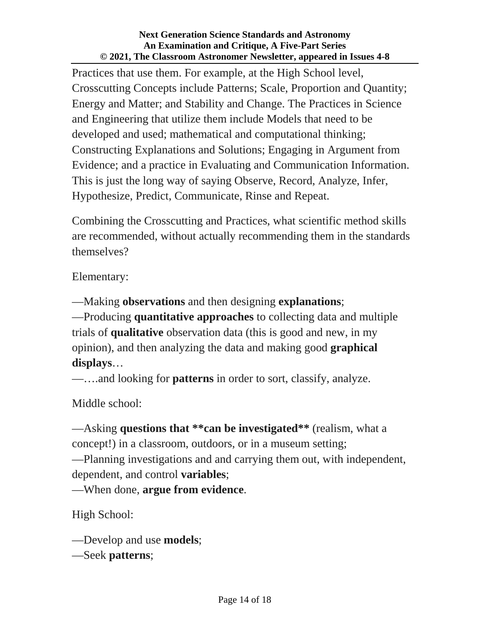Practices that use them. For example, at the High School level, Crosscutting Concepts include Patterns; Scale, Proportion and Quantity; Energy and Matter; and Stability and Change. The Practices in Science and Engineering that utilize them include Models that need to be developed and used; mathematical and computational thinking; Constructing Explanations and Solutions; Engaging in Argument from Evidence; and a practice in Evaluating and Communication Information. This is just the long way of saying Observe, Record, Analyze, Infer, Hypothesize, Predict, Communicate, Rinse and Repeat.

Combining the Crosscutting and Practices, what scientific method skills are recommended, without actually recommending them in the standards themselves?

Elementary:

—Making **observations** and then designing **explanations**; —Producing **quantitative approaches** to collecting data and multiple trials of **qualitative** observation data (this is good and new, in my opinion), and then analyzing the data and making good **graphical** 

**displays**…

—….and looking for **patterns** in order to sort, classify, analyze.

Middle school:

—Asking **questions that \*\*can be investigated\*\*** (realism, what a concept!) in a classroom, outdoors, or in a museum setting;

—Planning investigations and and carrying them out, with independent, dependent, and control **variables**;

—When done, **argue from evidence**.

High School:

—Develop and use **models**;

—Seek **patterns**;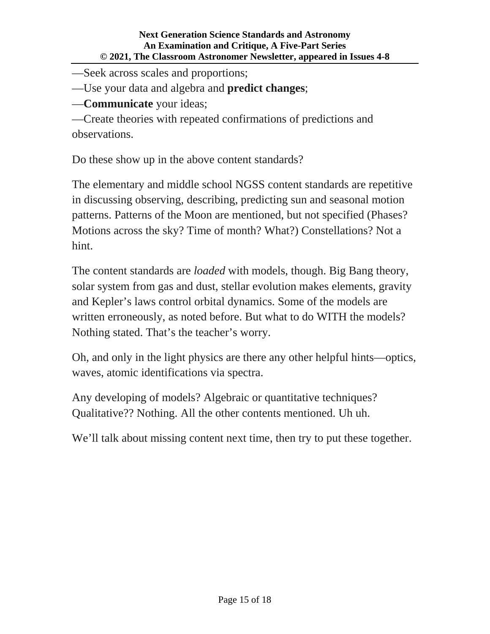—Seek across scales and proportions;

—Use your data and algebra and **predict changes**;

—**Communicate** your ideas;

—Create theories with repeated confirmations of predictions and observations.

Do these show up in the above content standards?

The elementary and middle school NGSS content standards are repetitive in discussing observing, describing, predicting sun and seasonal motion patterns. Patterns of the Moon are mentioned, but not specified (Phases? Motions across the sky? Time of month? What?) Constellations? Not a hint.

The content standards are *loaded* with models, though. Big Bang theory, solar system from gas and dust, stellar evolution makes elements, gravity and Kepler's laws control orbital dynamics. Some of the models are written erroneously, as noted before. But what to do WITH the models? Nothing stated. That's the teacher's worry.

Oh, and only in the light physics are there any other helpful hints—optics, waves, atomic identifications via spectra.

Any developing of models? Algebraic or quantitative techniques? Qualitative?? Nothing. All the other contents mentioned. Uh uh.

We'll talk about missing content next time, then try to put these together.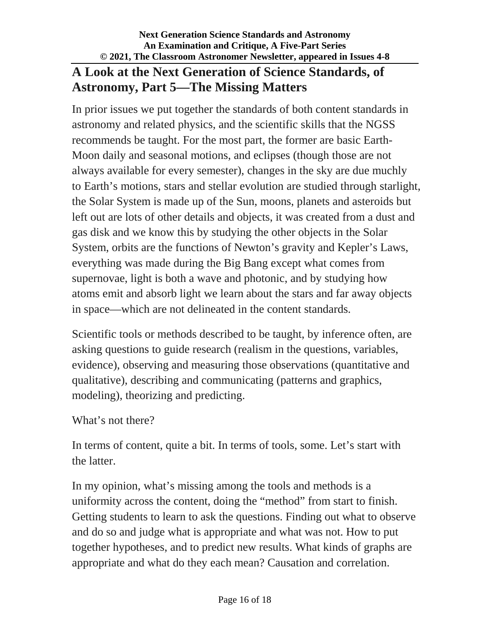## **A Look at the Next Generation of Science Standards, of Astronomy, Part 5—The Missing Matters**

In prior issues we put together the standards of both content standards in astronomy and related physics, and the scientific skills that the NGSS recommends be taught. For the most part, the former are basic Earth-Moon daily and seasonal motions, and eclipses (though those are not always available for every semester), changes in the sky are due muchly to Earth's motions, stars and stellar evolution are studied through starlight, the Solar System is made up of the Sun, moons, planets and asteroids but left out are lots of other details and objects, it was created from a dust and gas disk and we know this by studying the other objects in the Solar System, orbits are the functions of Newton's gravity and Kepler's Laws, everything was made during the Big Bang except what comes from supernovae, light is both a wave and photonic, and by studying how atoms emit and absorb light we learn about the stars and far away objects in space—which are not delineated in the content standards.

Scientific tools or methods described to be taught, by inference often, are asking questions to guide research (realism in the questions, variables, evidence), observing and measuring those observations (quantitative and qualitative), describing and communicating (patterns and graphics, modeling), theorizing and predicting.

### What's not there?

In terms of content, quite a bit. In terms of tools, some. Let's start with the latter.

In my opinion, what's missing among the tools and methods is a uniformity across the content, doing the "method" from start to finish. Getting students to learn to ask the questions. Finding out what to observe and do so and judge what is appropriate and what was not. How to put together hypotheses, and to predict new results. What kinds of graphs are appropriate and what do they each mean? Causation and correlation.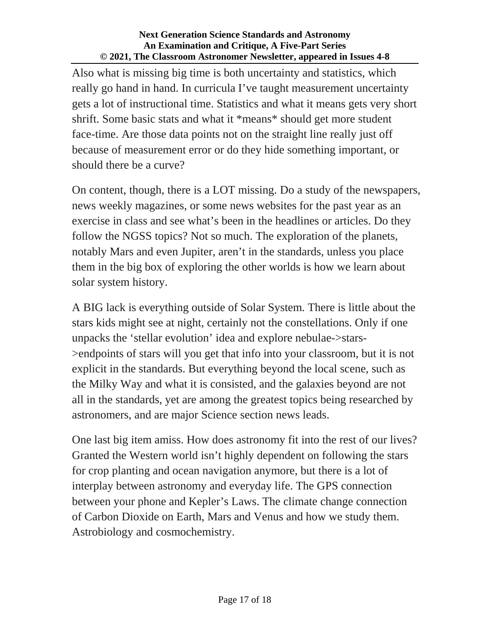Also what is missing big time is both uncertainty and statistics, which really go hand in hand. In curricula I've taught measurement uncertainty gets a lot of instructional time. Statistics and what it means gets very short shrift. Some basic stats and what it \*means\* should get more student face-time. Are those data points not on the straight line really just off because of measurement error or do they hide something important, or should there be a curve?

On content, though, there is a LOT missing. Do a study of the newspapers, news weekly magazines, or some news websites for the past year as an exercise in class and see what's been in the headlines or articles. Do they follow the NGSS topics? Not so much. The exploration of the planets, notably Mars and even Jupiter, aren't in the standards, unless you place them in the big box of exploring the other worlds is how we learn about solar system history.

A BIG lack is everything outside of Solar System. There is little about the stars kids might see at night, certainly not the constellations. Only if one unpacks the 'stellar evolution' idea and explore nebulae->stars- >endpoints of stars will you get that info into your classroom, but it is not explicit in the standards. But everything beyond the local scene, such as the Milky Way and what it is consisted, and the galaxies beyond are not all in the standards, yet are among the greatest topics being researched by astronomers, and are major Science section news leads.

One last big item amiss. How does astronomy fit into the rest of our lives? Granted the Western world isn't highly dependent on following the stars for crop planting and ocean navigation anymore, but there is a lot of interplay between astronomy and everyday life. The GPS connection between your phone and Kepler's Laws. The climate change connection of Carbon Dioxide on Earth, Mars and Venus and how we study them. Astrobiology and cosmochemistry.